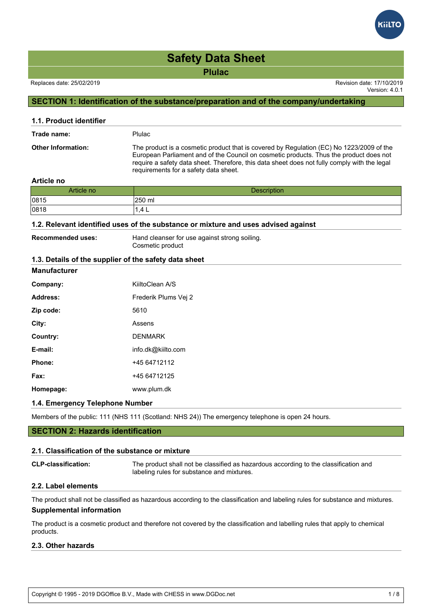**Plulac**

Version: 4.0.1

# **SECTION 1: Identification of the substance/preparation and of the company/undertaking**

| 1.1. Product identifier   |                                                                                                                                                                                                                                                                                                                             |
|---------------------------|-----------------------------------------------------------------------------------------------------------------------------------------------------------------------------------------------------------------------------------------------------------------------------------------------------------------------------|
| Trade name:               | Plulac                                                                                                                                                                                                                                                                                                                      |
| <b>Other Information:</b> | The product is a cosmetic product that is covered by Regulation (EC) No 1223/2009 of the<br>European Parliament and of the Council on cosmetic products. Thus the product does not<br>require a safety data sheet. Therefore, this data sheet does not fully comply with the legal<br>requirements for a safety data sheet. |

#### **Article no**

| Article no | Description   |
|------------|---------------|
| 0815       | <b>250 ml</b> |
| 0818       | . .4 L        |

### **1.2. Relevant identified uses of the substance or mixture and uses advised against**

**Recommended uses:** Hand cleanser for use against strong soiling. Cosmetic product

#### **1.3. Details of the supplier of the safety data sheet**

### **Manufacturer**

| Company:  | KiiltoClean A/S      |
|-----------|----------------------|
| Address:  | Frederik Plums Vei 2 |
| Zip code: | 5610                 |
| City:     | Assens               |
| Country:  | <b>DENMARK</b>       |
| E-mail:   | info.dk@kiilto.com   |
| Phone:    | +45 64712112         |
| Fax:      | +45 64712125         |
| Homepage: | www.plum.dk          |

#### **1.4. Emergency Telephone Number**

Members of the public: 111 (NHS 111 (Scotland: NHS 24)) The emergency telephone is open 24 hours.

### **SECTION 2: Hazards identification**

#### **2.1. Classification of the substance or mixture**

| <b>CLP-classification:</b> | The product shall not be classified as hazardous according to the classification and<br>labeling rules for substance and mixtures. |
|----------------------------|------------------------------------------------------------------------------------------------------------------------------------|
| 00 Lehel alamanda          |                                                                                                                                    |

#### **2.2. Label elements**

The product shall not be classified as hazardous according to the classification and labeling rules for substance and mixtures. **Supplemental information**

The product is a cosmetic product and therefore not covered by the classification and labelling rules that apply to chemical products.

### **2.3. Other hazards**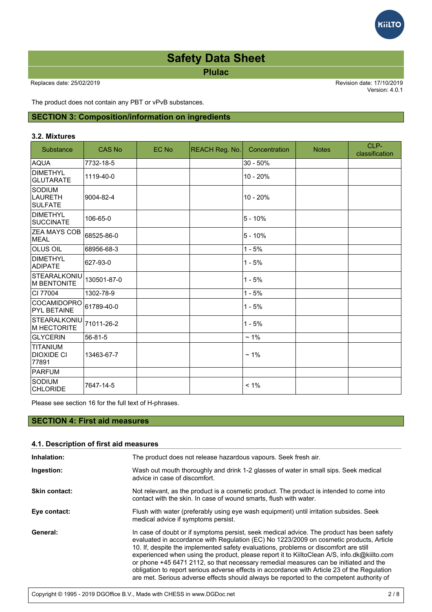**Plulac**

Replaces date: 25/02/2019 Revision date: 17/10/2019

Version: 4.0.1

The product does not contain any PBT or vPvB substances.

# **SECTION 3: Composition/information on ingredients**

#### **3.2. Mixtures**

| Substance                                         | <b>CAS No</b> | EC No | <b>REACH Reg. No.</b> | Concentration | <b>Notes</b> | CLP-<br>classification |
|---------------------------------------------------|---------------|-------|-----------------------|---------------|--------------|------------------------|
| <b>AQUA</b>                                       | 7732-18-5     |       |                       | $30 - 50%$    |              |                        |
| DIMETHYL<br><b>GLUTARATE</b>                      | 1119-40-0     |       |                       | 10 - 20%      |              |                        |
| <b>SODIUM</b><br><b>LAURETH</b><br><b>SULFATE</b> | 9004-82-4     |       |                       | 10 - 20%      |              |                        |
| <b>DIMETHYL</b><br><b>ISUCCINATE</b>              | 106-65-0      |       |                       | $5 - 10%$     |              |                        |
| <b>ZEA MAYS COB</b><br><b>MEAL</b>                | 68525-86-0    |       |                       | $5 - 10%$     |              |                        |
| <b>OLUS OIL</b>                                   | 68956-68-3    |       |                       | $1 - 5%$      |              |                        |
| DIMETHYL<br><b>ADIPATE</b>                        | 627-93-0      |       |                       | $1 - 5%$      |              |                        |
| STEARALKONIU<br>M BENTONITE                       | 130501-87-0   |       |                       | $1 - 5%$      |              |                        |
| CI 77004                                          | 1302-78-9     |       |                       | $1 - 5%$      |              |                        |
| <b>COCAMIDOPRO</b><br><b>PYL BETAINE</b>          | 61789-40-0    |       |                       | $1 - 5%$      |              |                        |
| STEARALKONIU<br>M HECTORITE                       | 71011-26-2    |       |                       | $1 - 5%$      |              |                        |
| GLYCERIN                                          | 56-81-5       |       |                       | $~1\%$        |              |                        |
| <b>TITANIUM</b><br><b>DIOXIDE CI</b><br>77891     | 13463-67-7    |       |                       | $~1\%$        |              |                        |
| PARFUM                                            |               |       |                       |               |              |                        |
| <b>SODIUM</b><br><b>CHLORIDE</b>                  | 7647-14-5     |       |                       | $< 1\%$       |              |                        |

Please see section 16 for the full text of H-phrases.

# **SECTION 4: First aid measures**

| 4.1. Description of first aid measures |                                                                                                                                                                                                                                                                                                                                                                                                                                                                                                                                                                                                                                                                 |  |  |  |
|----------------------------------------|-----------------------------------------------------------------------------------------------------------------------------------------------------------------------------------------------------------------------------------------------------------------------------------------------------------------------------------------------------------------------------------------------------------------------------------------------------------------------------------------------------------------------------------------------------------------------------------------------------------------------------------------------------------------|--|--|--|
| Inhalation:                            | The product does not release hazardous vapours. Seek fresh air.                                                                                                                                                                                                                                                                                                                                                                                                                                                                                                                                                                                                 |  |  |  |
| Ingestion:                             | Wash out mouth thoroughly and drink 1-2 glasses of water in small sips. Seek medical<br>advice in case of discomfort.                                                                                                                                                                                                                                                                                                                                                                                                                                                                                                                                           |  |  |  |
| <b>Skin contact:</b>                   | Not relevant, as the product is a cosmetic product. The product is intended to come into<br>contact with the skin. In case of wound smarts, flush with water.                                                                                                                                                                                                                                                                                                                                                                                                                                                                                                   |  |  |  |
| Eye contact:                           | Flush with water (preferably using eye wash equipment) until irritation subsides. Seek<br>medical advice if symptoms persist.                                                                                                                                                                                                                                                                                                                                                                                                                                                                                                                                   |  |  |  |
| General:                               | In case of doubt or if symptoms persist, seek medical advice. The product has been safety<br>evaluated in accordance with Regulation (EC) No 1223/2009 on cosmetic products, Article<br>10. If, despite the implemented safety evaluations, problems or discomfort are still<br>experienced when using the product, please report it to KiiltoClean A/S, info.dk@kiilto.com<br>or phone +45 6471 2112, so that necessary remedial measures can be initiated and the<br>obligation to report serious adverse effects in accordance with Article 23 of the Regulation<br>are met. Serious adverse effects should always be reported to the competent authority of |  |  |  |

the State where the issue of the issue of the issue of the issue of the issue of the issue of the issue of the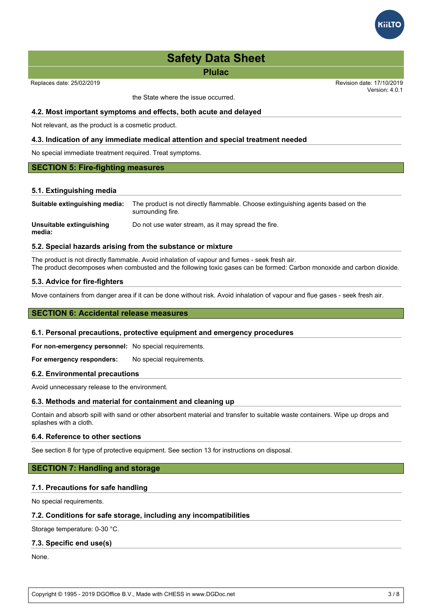

#### **Safety Data Sheet** With Regulation (EC) No 1223/2009 on cosmetic products, Article products, Article products, A 10. If, despite the implemented safety evaluations, problems or discomfort are still

**Plulac** experienced when using the product, please report it to KiiltoClean A/S, info.dk@kiilto.com or phone  $\mathbf{45}$  6471  $\mathbf{45}$  6471  $\mathbf{46}$  measures can be increased and the initiated and the initiated and the initiated and the initiated and the initiated and the initiated and the initiated and the initiated an

Replaces date: 25/02/2019

the State where the issue occurred.

Version: 4.0.1 Revision date: 17/10/2019 are metric metric should always be reported to the competent always be reported to the competent authority of  $\sim$ 

#### **4.2. Most important symptoms and effects, both acute and delayed**

Not relevant, as the product is a cosmetic product.

#### **4.3. Indication of any immediate medical attention and special treatment needed**

No special immediate treatment required. Treat symptoms.

#### **SECTION 5: Fire-fighting measures**

#### **5.1. Extinguishing media**

| Suitable extinguishing media:      | The product is not directly flammable. Choose extinguishing agents based on the<br>surrounding fire. |
|------------------------------------|------------------------------------------------------------------------------------------------------|
| Unsuitable extinguishing<br>media: | Do not use water stream, as it may spread the fire.                                                  |

#### **5.2. Special hazards arising from the substance or mixture**

The product is not directly flammable. Avoid inhalation of vapour and fumes - seek fresh air. The product decomposes when combusted and the following toxic gases can be formed: Carbon monoxide and carbon dioxide.

#### **5.3. Advice for fire-fighters**

Move containers from danger area if it can be done without risk. Avoid inhalation of vapour and flue gases - seek fresh air.

#### **SECTION 6: Accidental release measures**

#### **6.1. Personal precautions, protective equipment and emergency procedures**

**For non-emergency personnel:** No special requirements.

For emergency responders: No special requirements.

#### **6.2. Environmental precautions**

Avoid unnecessary release to the environment.

#### **6.3. Methods and material for containment and cleaning up**

Contain and absorb spill with sand or other absorbent material and transfer to suitable waste containers. Wipe up drops and splashes with a cloth.

#### **6.4. Reference to other sections**

See section 8 for type of protective equipment. See section 13 for instructions on disposal.

#### **SECTION 7: Handling and storage**

#### **7.1. Precautions for safe handling**

No special requirements.

#### **7.2. Conditions for safe storage, including any incompatibilities**

Storage temperature: 0-30 °C.

#### **7.3. Specific end use(s)**

None.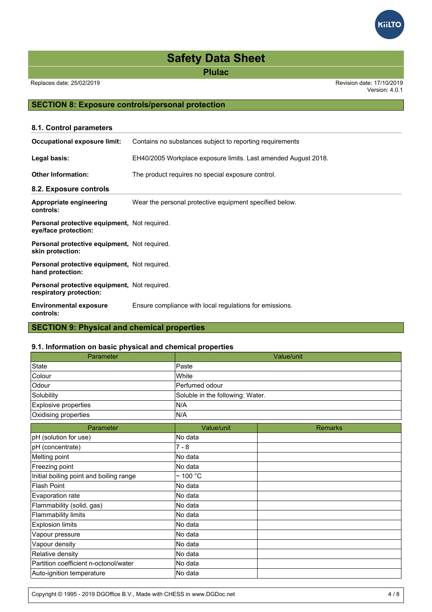**Plulac**

Replaces date: 25/02/2019 Revision date: 17/10/2019

Version: 4.0.1

# **SECTION 8: Exposure controls/personal protection**

| 8.1. Control parameters                                                 |                                                                |
|-------------------------------------------------------------------------|----------------------------------------------------------------|
| Occupational exposure limit:                                            | Contains no substances subject to reporting requirements       |
| Legal basis:                                                            | EH40/2005 Workplace exposure limits. Last amended August 2018. |
| <b>Other Information:</b>                                               | The product requires no special exposure control.              |
| 8.2. Exposure controls                                                  |                                                                |
| Appropriate engineering<br>controls:                                    | Wear the personal protective equipment specified below.        |
| Personal protective equipment, Not required.<br>eye/face protection:    |                                                                |
| Personal protective equipment, Not required.<br>skin protection:        |                                                                |
| Personal protective equipment, Not required.<br>hand protection:        |                                                                |
| Personal protective equipment, Not required.<br>respiratory protection: |                                                                |
| <b>Environmental exposure</b><br>controls:                              | Ensure compliance with local regulations for emissions.        |
| <b>SECTION 9: Physical and chemical properties</b>                      |                                                                |

# **9.1. Information on basic physical and chemical properties**

| <u> momando on basic prijeloarana chemical propernec</u><br>Parameter |                                  | Value/unit     |
|-----------------------------------------------------------------------|----------------------------------|----------------|
| State                                                                 | Paste                            |                |
| Colour                                                                | White                            |                |
| Odour                                                                 | Perfumed odour                   |                |
| Solubility                                                            | Soluble in the following: Water. |                |
| Explosive properties                                                  | N/A                              |                |
| Oxidising properties                                                  | N/A                              |                |
| Parameter                                                             | Value/unit                       | <b>Remarks</b> |
| pH (solution for use)                                                 | No data                          |                |
| pH (concentrate)                                                      | $7 - 8$                          |                |
| Melting point                                                         | No data                          |                |
| Freezing point                                                        | No data                          |                |
| Initial boiling point and boiling range                               | $\sim$ 100 °C                    |                |
| <b>Flash Point</b>                                                    | No data                          |                |
| Evaporation rate                                                      | No data                          |                |
| Flammability (solid, gas)                                             | No data                          |                |
| <b>Flammability limits</b>                                            | No data                          |                |
| <b>Explosion limits</b>                                               | No data                          |                |
| Vapour pressure                                                       | No data                          |                |
| Vapour density                                                        | No data                          |                |
| Relative density                                                      | No data                          |                |
| Partition coefficient n-octonol/water                                 | No data                          |                |
| Auto-ignition temperature                                             | No data                          |                |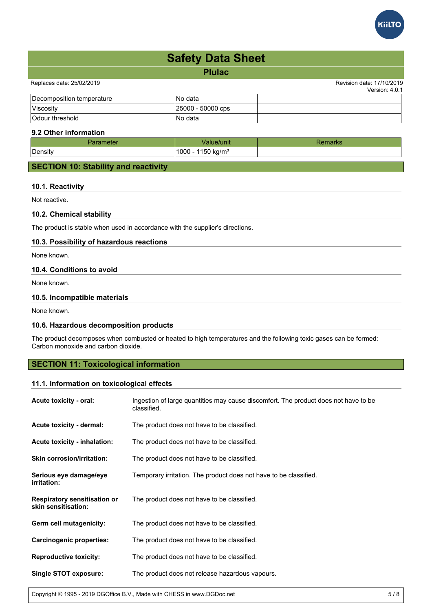

| <b>Safety Data Sheet</b>  |                   |                                             |  |
|---------------------------|-------------------|---------------------------------------------|--|
|                           | <b>Plulac</b>     |                                             |  |
| Replaces date: 25/02/2019 |                   | Revision date: 17/10/2019<br>Version: 4.0.1 |  |
| Decomposition temperature | INo data          |                                             |  |
| Viscosity                 | 25000 - 50000 cps |                                             |  |

#### **9.2 Other information**

| ---          | 'unit.                                  | <b>THE NEW</b> |
|--------------|-----------------------------------------|----------------|
| -<br>Density | $^{\circ}150$ .<br>$'1000 -$<br>kg/mª ر |                |
|              |                                         |                |

# **SECTION 10: Stability and reactivity**

Odour threshold No data

### **10.1. Reactivity**

Not reactive.

### **10.2. Chemical stability**

The product is stable when used in accordance with the supplier's directions.

### **10.3. Possibility of hazardous reactions**

None known.

# **10.4. Conditions to avoid**

None known.

#### **10.5. Incompatible materials**

None known.

#### **10.6. Hazardous decomposition products**

The product decomposes when combusted or heated to high temperatures and the following toxic gases can be formed: Carbon monoxide and carbon dioxide.

### **SECTION 11: Toxicological information**

#### **11.1. Information on toxicological effects**

| Acute toxicity - oral:                                     | Ingestion of large quantities may cause discomfort. The product does not have to be<br>classified. |
|------------------------------------------------------------|----------------------------------------------------------------------------------------------------|
| Acute toxicity - dermal:                                   | The product does not have to be classified.                                                        |
| <b>Acute toxicity - inhalation:</b>                        | The product does not have to be classified.                                                        |
| <b>Skin corrosion/irritation:</b>                          | The product does not have to be classified.                                                        |
| Serious eye damage/eye<br><i>irritation:</i>               | Temporary irritation. The product does not have to be classified.                                  |
| <b>Respiratory sensitisation or</b><br>skin sensitisation: | The product does not have to be classified.                                                        |
| Germ cell mutagenicity:                                    | The product does not have to be classified.                                                        |
| <b>Carcinogenic properties:</b>                            | The product does not have to be classified.                                                        |
| <b>Reproductive toxicity:</b>                              | The product does not have to be classified.                                                        |
| Single STOT exposure:                                      | The product does not release hazardous vapours.                                                    |

Copyright © 1995 - 2019 DGOffice B.V., Made with CHESS in www.DGDoc.net 5 / 8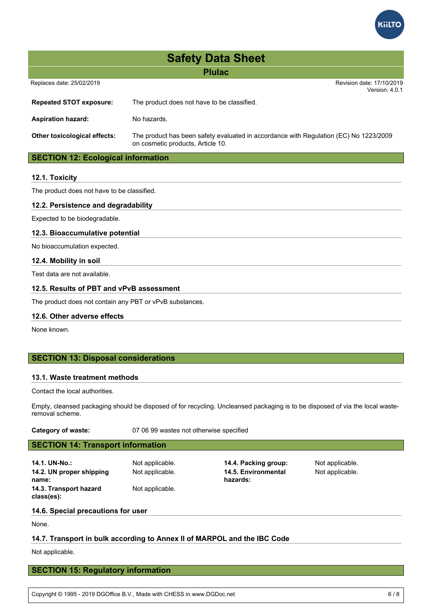

| <b>Safety Data Sheet</b>                  |                                                                                                                            |  |  |  |
|-------------------------------------------|----------------------------------------------------------------------------------------------------------------------------|--|--|--|
| <b>Plulac</b>                             |                                                                                                                            |  |  |  |
| Replaces date: 25/02/2019                 | Revision date: 17/10/2019<br>Version: 4.0.1                                                                                |  |  |  |
| <b>Repeated STOT exposure:</b>            | The product does not have to be classified.                                                                                |  |  |  |
| <b>Aspiration hazard:</b>                 | No hazards.                                                                                                                |  |  |  |
| <b>Other toxicological effects:</b>       | The product has been safety evaluated in accordance with Regulation (EC) No 1223/2009<br>on cosmetic products, Article 10. |  |  |  |
| <b>SECTION 12: Ecological information</b> |                                                                                                                            |  |  |  |
| 12.1. Toxicity                            |                                                                                                                            |  |  |  |

The product does not have to be classified.

#### **12.2. Persistence and degradability**

Expected to be biodegradable.

#### **12.3. Bioaccumulative potential**

No bioaccumulation expected.

#### **12.4. Mobility in soil**

Test data are not available.

#### **12.5. Results of PBT and vPvB assessment**

The product does not contain any PBT or vPvB substances.

#### **12.6. Other adverse effects**

None known.

#### **SECTION 13: Disposal considerations**

#### **13.1. Waste treatment methods**

Contact the local authorities.

Empty, cleansed packaging should be disposed of for recycling. Uncleansed packaging is to be disposed of via the local wasteremoval scheme.

| שנ <del>פ</del> γ ∪ו wasιe. |  |  |
|-----------------------------|--|--|
|                             |  |  |

**Category of waste:** 07 06 99 wastes not otherwise specified

# **SECTION 14: Transport information**

**14.1. UN-No.:** Not applicable. **14.4. Packing group:** Not applicable. **14.2. UN proper shipping name: 14.3. Transport hazard class(es):**

Not applicable.

Not applicable. **14.5. Environmental hazards:**

Not applicable.

# **14.6. Special precautions for user**

None.

#### **14.7. Transport in bulk according to Annex II of MARPOL and the IBC Code**

Not applicable.

#### **SECTION 15: Regulatory information**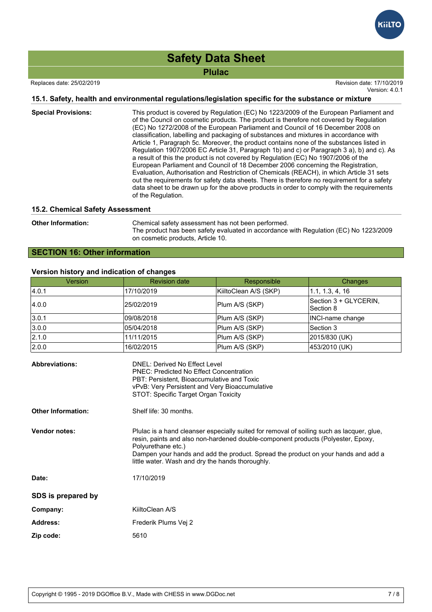**Plulac**

Replaces date: 25/02/2019 Revision date: 17/10/2019

# Version: 4.0.1

### **15.1. Safety, health and environmental regulations/legislation specific for the substance or mixture**

| <b>Special Provisions:</b> | This product is covered by Regulation (EC) No 1223/2009 of the European Parliament and<br>of the Council on cosmetic products. The product is therefore not covered by Regulation<br>(EC) No 1272/2008 of the European Parliament and Council of 16 December 2008 on<br>classification, labelling and packaging of substances and mixtures in accordance with<br>Article 1, Paragraph 5c. Moreover, the product contains none of the substances listed in<br>Regulation 1907/2006 EC Article 31, Paragraph 1b) and c) or Paragraph 3 a), b) and c). As<br>a result of this the product is not covered by Regulation (EC) No 1907/2006 of the<br>European Parliament and Council of 18 December 2006 concerning the Registration,<br>Evaluation, Authorisation and Restriction of Chemicals (REACH), in which Article 31 sets<br>out the requirements for safety data sheets. There is therefore no requirement for a safety<br>data sheet to be drawn up for the above products in order to comply with the requirements<br>of the Regulation. |
|----------------------------|------------------------------------------------------------------------------------------------------------------------------------------------------------------------------------------------------------------------------------------------------------------------------------------------------------------------------------------------------------------------------------------------------------------------------------------------------------------------------------------------------------------------------------------------------------------------------------------------------------------------------------------------------------------------------------------------------------------------------------------------------------------------------------------------------------------------------------------------------------------------------------------------------------------------------------------------------------------------------------------------------------------------------------------------|
|                            |                                                                                                                                                                                                                                                                                                                                                                                                                                                                                                                                                                                                                                                                                                                                                                                                                                                                                                                                                                                                                                                |

#### **15.2. Chemical Safety Assessment**

**Other Information:** Chemical safety assessment has not been performed. The product has been safety evaluated in accordance with Regulation (EC) No 1223/2009 on cosmetic products, Article 10.

# **SECTION 16: Other information**

#### **Version history and indication of changes**

| <b>Version</b> | <b>Revision date</b> | Responsible           | Changes                            |
|----------------|----------------------|-----------------------|------------------------------------|
| 4.0.1          | 17/10/2019           | KiiltoClean A/S (SKP) | 1.1, 1.3, 4, 16                    |
| 4.0.0          | 25/02/2019           | Plum A/S (SKP)        | Section 3 + GLYCERIN,<br>Section 8 |
| 3.0.1          | 109/08/2018          | Plum A/S (SKP)        | INCI-name change                   |
| 3.0.0          | 05/04/2018           | Plum A/S (SKP)        | Section 3                          |
| 2.1.0          | 11/11/2015           | Plum A/S (SKP)        | 2015/830 (UK)                      |
| 2.0.0          | 16/02/2015           | Plum A/S (SKP)        | 453/2010 (UK)                      |

| <b>Abbreviations:</b>     | DNEL: Derived No Effect Level<br><b>PNEC: Predicted No Effect Concentration</b><br>PBT: Persistent, Bioaccumulative and Toxic<br>vPvB: Very Persistent and Very Bioaccumulative<br>STOT: Specific Target Organ Toxicity                                                                                                                      |
|---------------------------|----------------------------------------------------------------------------------------------------------------------------------------------------------------------------------------------------------------------------------------------------------------------------------------------------------------------------------------------|
| <b>Other Information:</b> | Shelf life: 30 months.                                                                                                                                                                                                                                                                                                                       |
| <b>Vendor notes:</b>      | Plulac is a hand cleanser especially suited for removal of soiling such as lacquer, glue,<br>resin, paints and also non-hardened double-component products (Polyester, Epoxy,<br>Polyurethane etc.)<br>Dampen your hands and add the product. Spread the product on your hands and add a<br>little water. Wash and dry the hands thoroughly. |
| Date:                     | 17/10/2019                                                                                                                                                                                                                                                                                                                                   |
| SDS is prepared by        |                                                                                                                                                                                                                                                                                                                                              |
| Company:                  | KiiltoClean A/S                                                                                                                                                                                                                                                                                                                              |
| <b>Address:</b>           | Frederik Plums Vei 2                                                                                                                                                                                                                                                                                                                         |
| Zip code:                 | 5610                                                                                                                                                                                                                                                                                                                                         |